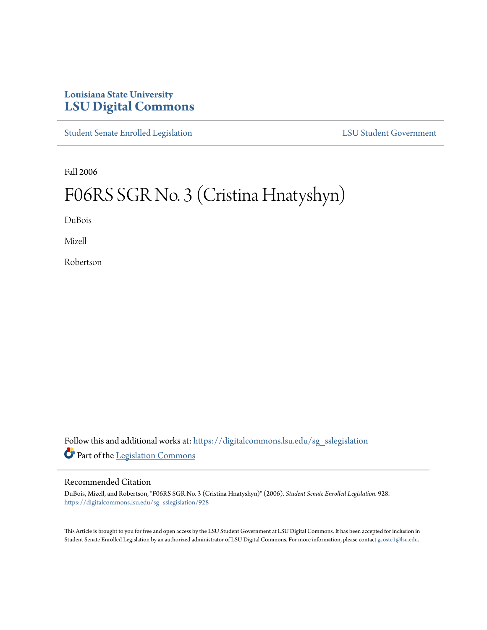# **Louisiana State University [LSU Digital Commons](https://digitalcommons.lsu.edu?utm_source=digitalcommons.lsu.edu%2Fsg_sslegislation%2F928&utm_medium=PDF&utm_campaign=PDFCoverPages)**

[Student Senate Enrolled Legislation](https://digitalcommons.lsu.edu/sg_sslegislation?utm_source=digitalcommons.lsu.edu%2Fsg_sslegislation%2F928&utm_medium=PDF&utm_campaign=PDFCoverPages) [LSU Student Government](https://digitalcommons.lsu.edu/sg?utm_source=digitalcommons.lsu.edu%2Fsg_sslegislation%2F928&utm_medium=PDF&utm_campaign=PDFCoverPages)

Fall 2006

# F06RS SGR No. 3 (Cristina Hnatyshyn)

DuBois

Mizell

Robertson

Follow this and additional works at: [https://digitalcommons.lsu.edu/sg\\_sslegislation](https://digitalcommons.lsu.edu/sg_sslegislation?utm_source=digitalcommons.lsu.edu%2Fsg_sslegislation%2F928&utm_medium=PDF&utm_campaign=PDFCoverPages) Part of the [Legislation Commons](http://network.bepress.com/hgg/discipline/859?utm_source=digitalcommons.lsu.edu%2Fsg_sslegislation%2F928&utm_medium=PDF&utm_campaign=PDFCoverPages)

#### Recommended Citation

DuBois, Mizell, and Robertson, "F06RS SGR No. 3 (Cristina Hnatyshyn)" (2006). *Student Senate Enrolled Legislation*. 928. [https://digitalcommons.lsu.edu/sg\\_sslegislation/928](https://digitalcommons.lsu.edu/sg_sslegislation/928?utm_source=digitalcommons.lsu.edu%2Fsg_sslegislation%2F928&utm_medium=PDF&utm_campaign=PDFCoverPages)

This Article is brought to you for free and open access by the LSU Student Government at LSU Digital Commons. It has been accepted for inclusion in Student Senate Enrolled Legislation by an authorized administrator of LSU Digital Commons. For more information, please contact [gcoste1@lsu.edu.](mailto:gcoste1@lsu.edu)